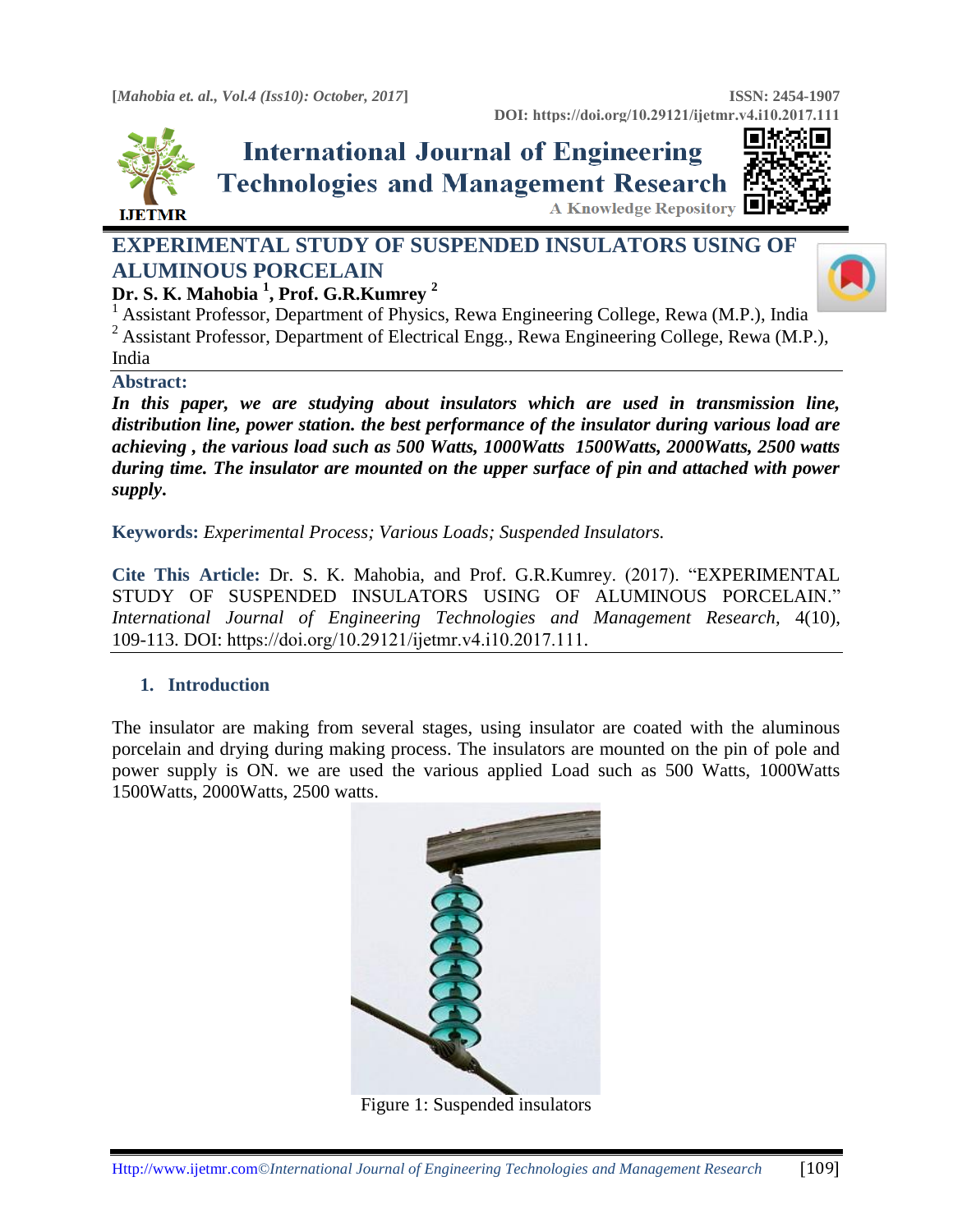

# **International Journal of Engineering Technologies and Management Research** A Knowledge Repository

## **EXPERIMENTAL STUDY OF SUSPENDED INSULATORS USING OF ALUMINOUS PORCELAIN Dr. S. K. Mahobia <sup>1</sup> , Prof. G.R.Kumrey <sup>2</sup>**



<sup>1</sup> Assistant Professor, Department of Physics, Rewa Engineering College, Rewa (M.P.), India <sup>2</sup> Assistant Professor, Department of Electrical Engg., Rewa Engineering College, Rewa (M.P.), India

#### **Abstract:**

In this paper, we are studying about insulators which are used in transmission line, *distribution line, power station. the best performance of the insulator during various load are achieving , the various load such as 500 Watts, 1000Watts 1500Watts, 2000Watts, 2500 watts during time. The insulator are mounted on the upper surface of pin and attached with power supply***.**

**Keywords:** *Experimental Process; Various Loads; Suspended Insulators.* 

**Cite This Article:** Dr. S. K. Mahobia, and Prof. G.R.Kumrey. (2017). "EXPERIMENTAL STUDY OF SUSPENDED INSULATORS USING OF ALUMINOUS PORCELAIN." *International Journal of Engineering Technologies and Management Research,* 4(10), 109-113. DOI: https://doi.org/10.29121/ijetmr.v4.i10.2017.111.

### **1. Introduction**

The insulator are making from several stages, using insulator are coated with the aluminous porcelain and drying during making process. The insulators are mounted on the pin of pole and power supply is ON. we are used the various applied Load such as 500 Watts, 1000Watts 1500Watts, 2000Watts, 2500 watts.



Figure 1: Suspended insulators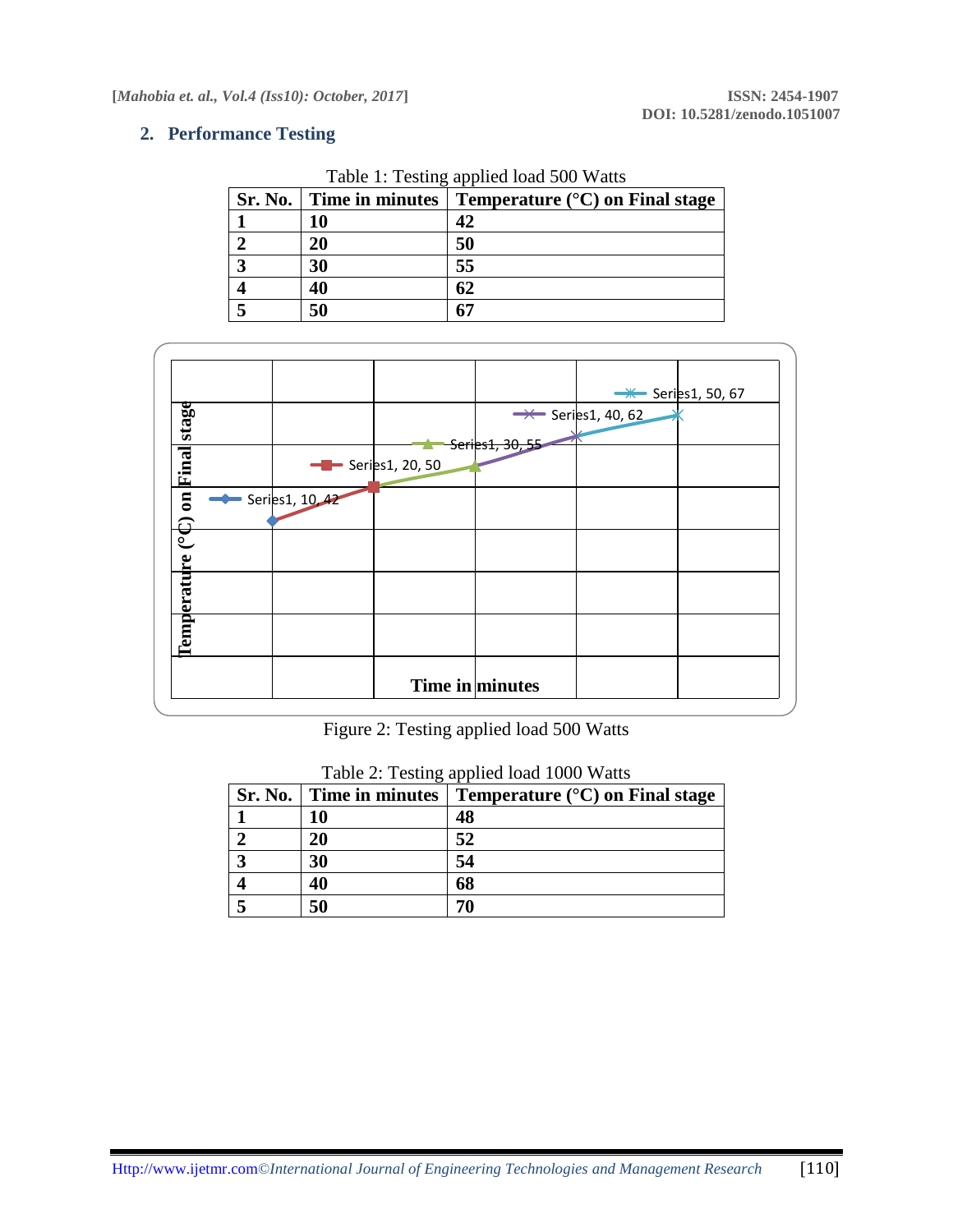#### **2. Performance Testing**

| Sr. No. |    | Time in minutes $\vert$ Temperature ( $\rm ^{\circ}C$ ) on Final stage |
|---------|----|------------------------------------------------------------------------|
|         |    |                                                                        |
|         | 20 | 50                                                                     |
|         | 30 | 55                                                                     |
|         | 40 | 62                                                                     |
|         | 50 |                                                                        |

Table 1: Testing applied load 500 Watts



## Figure 2: Testing applied load 500 Watts

| Sr. No.   Time in minutes | Temperature $(^{\circ}C)$ on Final stage |
|---------------------------|------------------------------------------|
| 10                        | 48                                       |
| 20                        | 52                                       |
| 30                        | 54                                       |
| 40                        | 68                                       |
| 50                        |                                          |

| Table 2: Testing applied load 1000 Watts |  |  |  |
|------------------------------------------|--|--|--|
|                                          |  |  |  |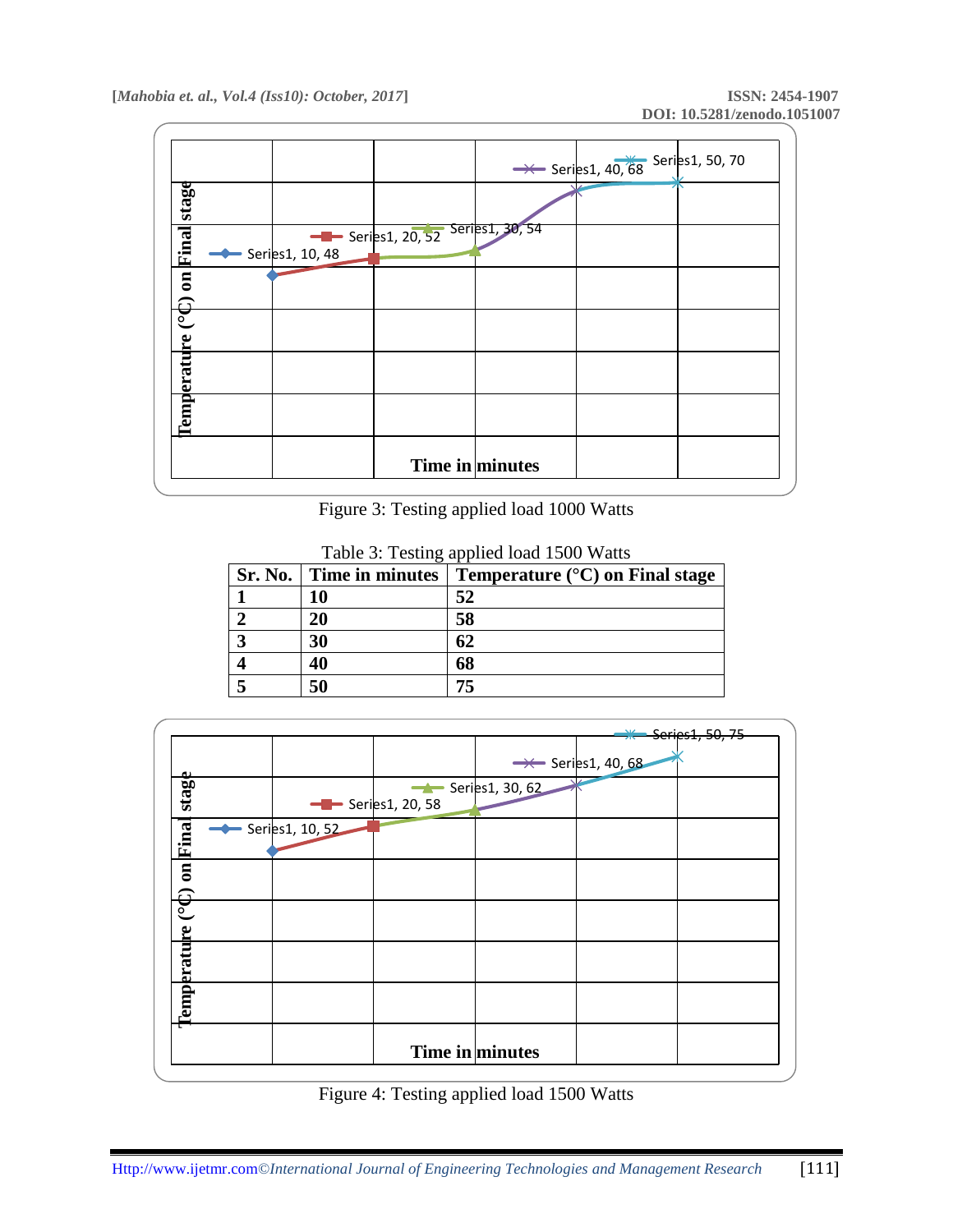|                                  |                 |                                               | $\rightarrow$ Series1, 40, 68 Series1, 50, 70 |  |
|----------------------------------|-----------------|-----------------------------------------------|-----------------------------------------------|--|
| stage                            |                 |                                               |                                               |  |
| Final                            | Series1, 10, 48 | $\frac{1}{2}$ Series1, 20, 52 Series1, 30, 54 |                                               |  |
| $\overline{\mathbf{a}}$          |                 |                                               |                                               |  |
| <u>(၁</u>                        |                 |                                               |                                               |  |
| <b><i><u>Comperature</u></i></b> |                 |                                               |                                               |  |
|                                  |                 |                                               |                                               |  |
|                                  |                 | Time in minutes                               |                                               |  |

Figure 3: Testing applied load 1000 Watts

| <b>Sr. No.</b> |    | Time in minutes   Temperature $({}^{\circ}C)$ on Final stage |
|----------------|----|--------------------------------------------------------------|
|                |    | 52                                                           |
|                | 20 | 58                                                           |
|                | 30 | 62                                                           |
|                | 40 | 68                                                           |
|                | 50 | 75                                                           |

Table 3: Testing applied load 1500 Watts



Figure 4: Testing applied load 1500 Watts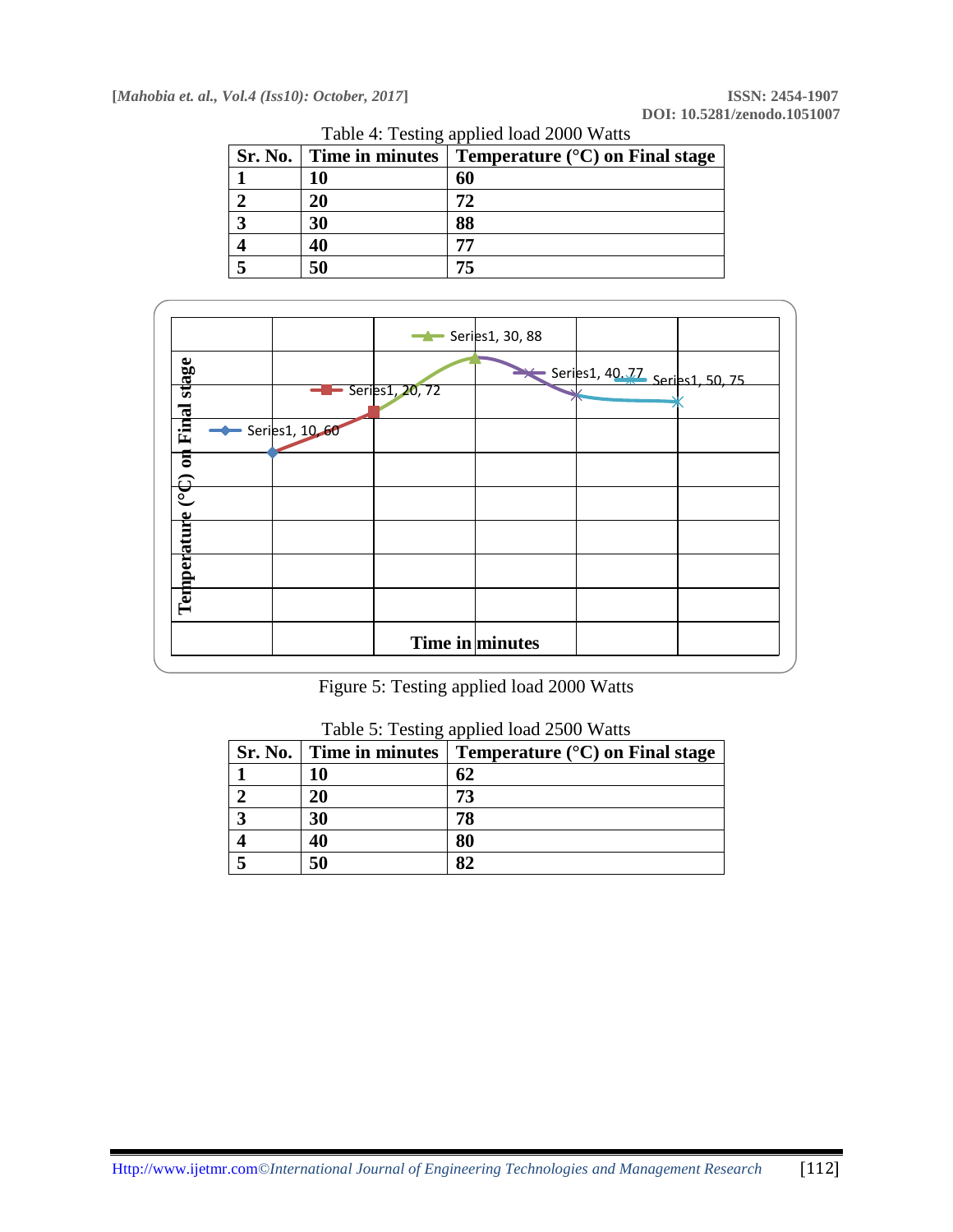|   |    | Sr. No.   Time in minutes   Temperature $(^\circ\text{C})$ on Final stage |
|---|----|---------------------------------------------------------------------------|
|   | 10 | 60                                                                        |
|   | 20 | 72                                                                        |
| Δ | 30 | 88                                                                        |
|   | 40 |                                                                           |
|   | 50 | 75                                                                        |

Table 4: Testing applied load 2000 Watts



Figure 5: Testing applied load 2000 Watts

| Sr. No.   Time in minutes | Temperature $(^{\circ}C)$ on Final stage |
|---------------------------|------------------------------------------|
|                           | 62                                       |
|                           | 73                                       |
| 30                        | 78                                       |
| 40                        | 80                                       |
| 50                        |                                          |

Table 5: Testing applied load 2500 Watts